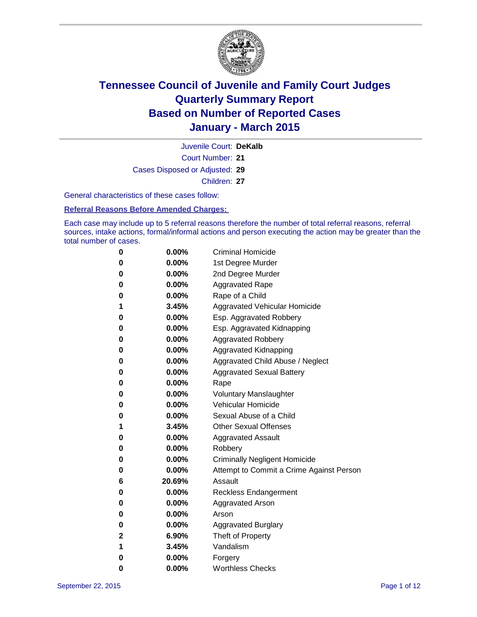

Court Number: **21** Juvenile Court: **DeKalb** Cases Disposed or Adjusted: **29** Children: **27**

General characteristics of these cases follow:

**Referral Reasons Before Amended Charges:** 

Each case may include up to 5 referral reasons therefore the number of total referral reasons, referral sources, intake actions, formal/informal actions and person executing the action may be greater than the total number of cases.

| 0            | $0.00\%$ | <b>Criminal Homicide</b>                 |
|--------------|----------|------------------------------------------|
| 0            | 0.00%    | 1st Degree Murder                        |
| 0            | 0.00%    | 2nd Degree Murder                        |
| 0            | $0.00\%$ | <b>Aggravated Rape</b>                   |
| 0            | $0.00\%$ | Rape of a Child                          |
| 1            | 3.45%    | Aggravated Vehicular Homicide            |
| 0            | 0.00%    | Esp. Aggravated Robbery                  |
| 0            | $0.00\%$ | Esp. Aggravated Kidnapping               |
| 0            | $0.00\%$ | <b>Aggravated Robbery</b>                |
| 0            | 0.00%    | <b>Aggravated Kidnapping</b>             |
| 0            | 0.00%    | Aggravated Child Abuse / Neglect         |
| 0            | 0.00%    | <b>Aggravated Sexual Battery</b>         |
| 0            | 0.00%    | Rape                                     |
| 0            | $0.00\%$ | <b>Voluntary Manslaughter</b>            |
| 0            | $0.00\%$ | <b>Vehicular Homicide</b>                |
| 0            | $0.00\%$ | Sexual Abuse of a Child                  |
| 1            | 3.45%    | <b>Other Sexual Offenses</b>             |
| 0            | $0.00\%$ | <b>Aggravated Assault</b>                |
| 0            | 0.00%    | Robbery                                  |
| 0            | 0.00%    | <b>Criminally Negligent Homicide</b>     |
| 0            | $0.00\%$ | Attempt to Commit a Crime Against Person |
| 6            | 20.69%   | Assault                                  |
| 0            | 0.00%    | <b>Reckless Endangerment</b>             |
| 0            | $0.00\%$ | <b>Aggravated Arson</b>                  |
| 0            | $0.00\%$ | Arson                                    |
| 0            | 0.00%    | <b>Aggravated Burglary</b>               |
| $\mathbf{2}$ | 6.90%    | Theft of Property                        |
| 1            | 3.45%    | Vandalism                                |
| 0            | 0.00%    | Forgery                                  |
| 0            | 0.00%    | <b>Worthless Checks</b>                  |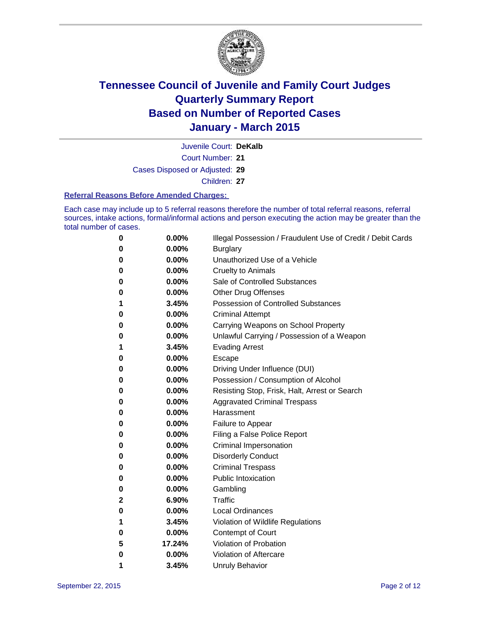

Juvenile Court: **DeKalb**

Court Number: **21**

Cases Disposed or Adjusted: **29**

Children: **27**

#### **Referral Reasons Before Amended Charges:**

Each case may include up to 5 referral reasons therefore the number of total referral reasons, referral sources, intake actions, formal/informal actions and person executing the action may be greater than the total number of cases.

| 0            | 0.00%  | Illegal Possession / Fraudulent Use of Credit / Debit Cards |
|--------------|--------|-------------------------------------------------------------|
| 0            | 0.00%  | <b>Burglary</b>                                             |
| 0            | 0.00%  | Unauthorized Use of a Vehicle                               |
| 0            | 0.00%  | <b>Cruelty to Animals</b>                                   |
| 0            | 0.00%  | Sale of Controlled Substances                               |
| 0            | 0.00%  | <b>Other Drug Offenses</b>                                  |
| 1            | 3.45%  | <b>Possession of Controlled Substances</b>                  |
| 0            | 0.00%  | <b>Criminal Attempt</b>                                     |
| 0            | 0.00%  | Carrying Weapons on School Property                         |
| 0            | 0.00%  | Unlawful Carrying / Possession of a Weapon                  |
| 1            | 3.45%  | <b>Evading Arrest</b>                                       |
| 0            | 0.00%  | Escape                                                      |
| 0            | 0.00%  | Driving Under Influence (DUI)                               |
| 0            | 0.00%  | Possession / Consumption of Alcohol                         |
| 0            | 0.00%  | Resisting Stop, Frisk, Halt, Arrest or Search               |
| 0            | 0.00%  | <b>Aggravated Criminal Trespass</b>                         |
| 0            | 0.00%  | Harassment                                                  |
| 0            | 0.00%  | Failure to Appear                                           |
| 0            | 0.00%  | Filing a False Police Report                                |
| 0            | 0.00%  | Criminal Impersonation                                      |
| 0            | 0.00%  | <b>Disorderly Conduct</b>                                   |
| 0            | 0.00%  | <b>Criminal Trespass</b>                                    |
| 0            | 0.00%  | <b>Public Intoxication</b>                                  |
| 0            | 0.00%  | Gambling                                                    |
| $\mathbf{2}$ | 6.90%  | <b>Traffic</b>                                              |
| 0            | 0.00%  | <b>Local Ordinances</b>                                     |
| 1            | 3.45%  | Violation of Wildlife Regulations                           |
| 0            | 0.00%  | Contempt of Court                                           |
| 5            | 17.24% | Violation of Probation                                      |
| 0            | 0.00%  | Violation of Aftercare                                      |
| 1            | 3.45%  | <b>Unruly Behavior</b>                                      |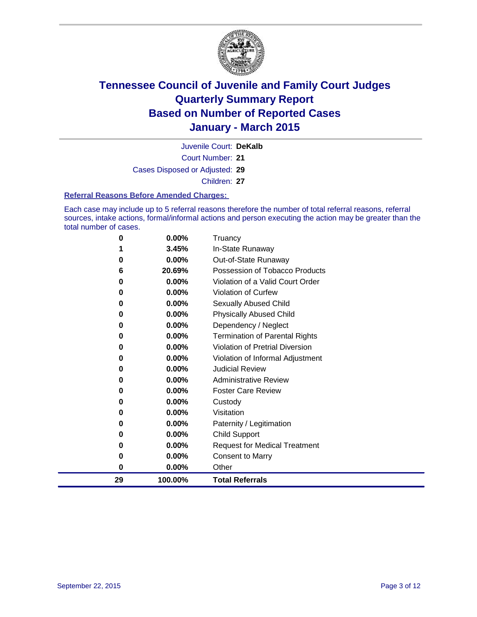

Court Number: **21** Juvenile Court: **DeKalb** Cases Disposed or Adjusted: **29**

Children: **27**

#### **Referral Reasons Before Amended Charges:**

Each case may include up to 5 referral reasons therefore the number of total referral reasons, referral sources, intake actions, formal/informal actions and person executing the action may be greater than the total number of cases.

| 0  | $0.00\%$ | Truancy                                |
|----|----------|----------------------------------------|
| 1  | 3.45%    | In-State Runaway                       |
| 0  | 0.00%    | Out-of-State Runaway                   |
| 6  | 20.69%   | Possession of Tobacco Products         |
| 0  | $0.00\%$ | Violation of a Valid Court Order       |
| 0  | $0.00\%$ | <b>Violation of Curfew</b>             |
| 0  | 0.00%    | Sexually Abused Child                  |
| 0  | 0.00%    | <b>Physically Abused Child</b>         |
| 0  | 0.00%    | Dependency / Neglect                   |
| 0  | 0.00%    | <b>Termination of Parental Rights</b>  |
| 0  | $0.00\%$ | <b>Violation of Pretrial Diversion</b> |
| 0  | $0.00\%$ | Violation of Informal Adjustment       |
| 0  | $0.00\%$ | <b>Judicial Review</b>                 |
| 0  | $0.00\%$ | <b>Administrative Review</b>           |
| 0  | 0.00%    | <b>Foster Care Review</b>              |
| 0  | $0.00\%$ | Custody                                |
| 0  | $0.00\%$ | Visitation                             |
| 0  | 0.00%    | Paternity / Legitimation               |
| 0  | 0.00%    | Child Support                          |
| 0  | 0.00%    | <b>Request for Medical Treatment</b>   |
| 0  | 0.00%    | <b>Consent to Marry</b>                |
| 0  | 0.00%    | Other                                  |
| 29 | 100.00%  | <b>Total Referrals</b>                 |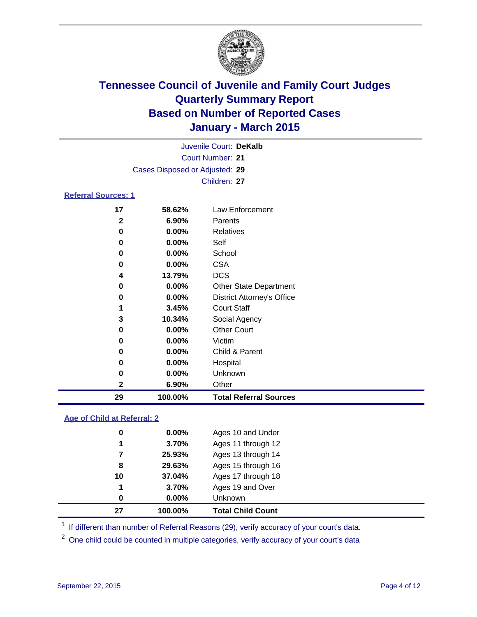

| Juvenile Court: DeKalb         |  |
|--------------------------------|--|
| Court Number: 21               |  |
| Cases Disposed or Adjusted: 29 |  |
| Children: 27                   |  |
| <b>Referral Sources: 1</b>     |  |

| 29          | 100.00%  | <b>Total Referral Sources</b>     |
|-------------|----------|-----------------------------------|
| 2           | 6.90%    | Other                             |
| 0           | 0.00%    | Unknown                           |
| 0           | $0.00\%$ | Hospital                          |
| 0           | $0.00\%$ | Child & Parent                    |
| 0           | $0.00\%$ | Victim                            |
| 0           | 0.00%    | <b>Other Court</b>                |
| 3           | 10.34%   | Social Agency                     |
|             | 3.45%    | <b>Court Staff</b>                |
| 0           | 0.00%    | <b>District Attorney's Office</b> |
| 0           | $0.00\%$ | <b>Other State Department</b>     |
| 4           | 13.79%   | <b>DCS</b>                        |
| 0           | 0.00%    | <b>CSA</b>                        |
| 0           | 0.00%    | School                            |
| 0           | 0.00%    | Self                              |
| 0           | $0.00\%$ | Relatives                         |
| $\mathbf 2$ | 6.90%    | Parents                           |
| 17          | 58.62%   | Law Enforcement                   |

### **Age of Child at Referral: 2**

| 27 | 100.00%  | <b>Total Child Count</b> |
|----|----------|--------------------------|
| 0  | $0.00\%$ | Unknown                  |
| 1  | 3.70%    | Ages 19 and Over         |
| 10 | 37.04%   | Ages 17 through 18       |
| 8  | 29.63%   | Ages 15 through 16       |
| 7  | 25.93%   | Ages 13 through 14       |
| 1  | 3.70%    | Ages 11 through 12       |
| 0  | $0.00\%$ | Ages 10 and Under        |

<sup>1</sup> If different than number of Referral Reasons (29), verify accuracy of your court's data.

One child could be counted in multiple categories, verify accuracy of your court's data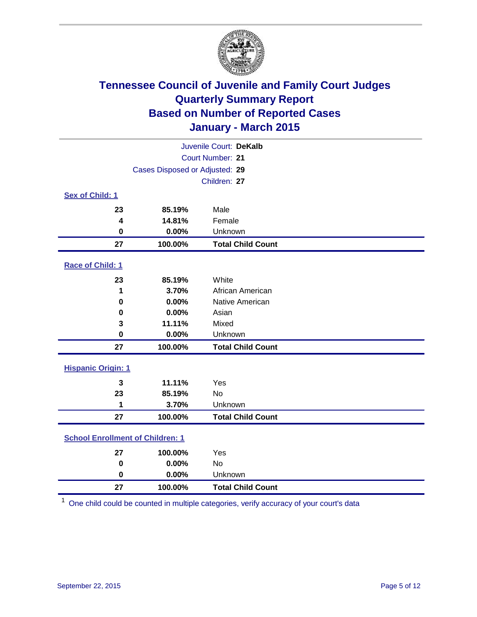

| Juvenile Court: DeKalb                  |                                |                          |  |  |
|-----------------------------------------|--------------------------------|--------------------------|--|--|
|                                         | Court Number: 21               |                          |  |  |
|                                         | Cases Disposed or Adjusted: 29 |                          |  |  |
|                                         |                                | Children: 27             |  |  |
| Sex of Child: 1                         |                                |                          |  |  |
| 23                                      | 85.19%                         | Male                     |  |  |
| $\overline{\mathbf{4}}$                 | 14.81%                         | Female                   |  |  |
| 0                                       | 0.00%                          | Unknown                  |  |  |
| 27                                      | 100.00%                        | <b>Total Child Count</b> |  |  |
| Race of Child: 1                        |                                |                          |  |  |
| 23                                      | 85.19%                         | White                    |  |  |
| 1                                       | 3.70%                          | African American         |  |  |
| $\bf{0}$                                | 0.00%                          | Native American          |  |  |
| 0                                       | 0.00%                          | Asian                    |  |  |
| 3                                       | 11.11%                         | Mixed                    |  |  |
| $\mathbf 0$                             | 0.00%                          | Unknown                  |  |  |
| 27                                      | 100.00%                        | <b>Total Child Count</b> |  |  |
| <b>Hispanic Origin: 1</b>               |                                |                          |  |  |
| 3                                       | 11.11%                         | Yes                      |  |  |
| 23                                      | 85.19%                         | <b>No</b>                |  |  |
| 1                                       | 3.70%                          | Unknown                  |  |  |
| 27                                      | 100.00%                        | <b>Total Child Count</b> |  |  |
| <b>School Enrollment of Children: 1</b> |                                |                          |  |  |
| 27                                      | 100.00%                        | Yes                      |  |  |
| $\mathbf 0$                             | 0.00%                          | <b>No</b>                |  |  |
| $\bf{0}$                                | 0.00%                          | Unknown                  |  |  |
| 27                                      | 100.00%                        | <b>Total Child Count</b> |  |  |

One child could be counted in multiple categories, verify accuracy of your court's data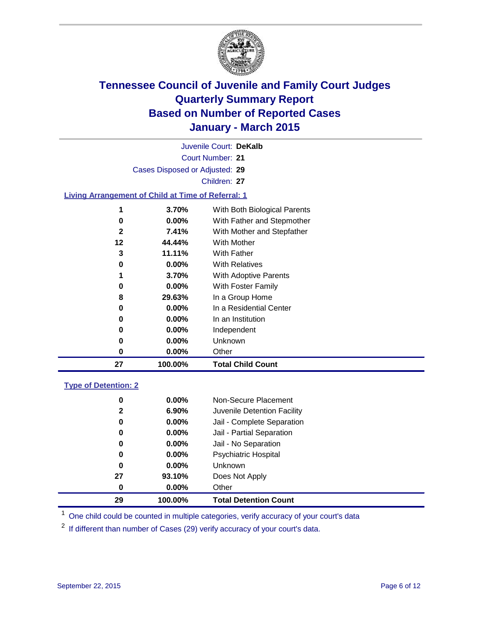

| 27                                                        | 100.00%                        | <b>Total Child Count</b>     |  |
|-----------------------------------------------------------|--------------------------------|------------------------------|--|
| 0                                                         | 0.00%                          | Other                        |  |
| 0                                                         | $0.00\%$                       | Unknown                      |  |
| 0                                                         | 0.00%                          | Independent                  |  |
| 0                                                         | $0.00\%$                       | In an Institution            |  |
| 0                                                         | $0.00\%$                       | In a Residential Center      |  |
| 8                                                         | 29.63%                         | In a Group Home              |  |
| 0                                                         | $0.00\%$                       | With Foster Family           |  |
| 1                                                         | 3.70%                          | With Adoptive Parents        |  |
| 0                                                         | $0.00\%$                       | <b>With Relatives</b>        |  |
| 3                                                         | 11.11%                         | With Father                  |  |
| $12 \,$                                                   | 44.44%                         | With Mother                  |  |
| $\mathbf{2}$                                              | 7.41%                          | With Mother and Stepfather   |  |
| 0                                                         | $0.00\%$                       | With Father and Stepmother   |  |
| 1                                                         | 3.70%                          | With Both Biological Parents |  |
| <b>Living Arrangement of Child at Time of Referral: 1</b> |                                |                              |  |
|                                                           |                                | Children: 27                 |  |
|                                                           |                                |                              |  |
|                                                           | Cases Disposed or Adjusted: 29 |                              |  |
|                                                           |                                | Court Number: 21             |  |
|                                                           |                                | Juvenile Court: DeKalb       |  |

### **Type of Detention: 2**

| 0<br>$\mathbf{2}$<br>0 | $0.00\%$<br>$6.90\%$<br>$0.00\%$ | Non-Secure Placement<br>Juvenile Detention Facility<br>Jail - Complete Separation |
|------------------------|----------------------------------|-----------------------------------------------------------------------------------|
| 0                      | 0.00%                            | Jail - Partial Separation                                                         |
| 0                      | $0.00\%$                         | Jail - No Separation                                                              |
| 0                      | $0.00\%$                         | <b>Psychiatric Hospital</b>                                                       |
| 0                      | $0.00\%$                         | Unknown                                                                           |
| 27                     | 93.10%                           | Does Not Apply                                                                    |
| 0                      | $0.00\%$                         | Other                                                                             |
| 29                     | 100.00%                          | <b>Total Detention Count</b>                                                      |

<sup>1</sup> One child could be counted in multiple categories, verify accuracy of your court's data

If different than number of Cases (29) verify accuracy of your court's data.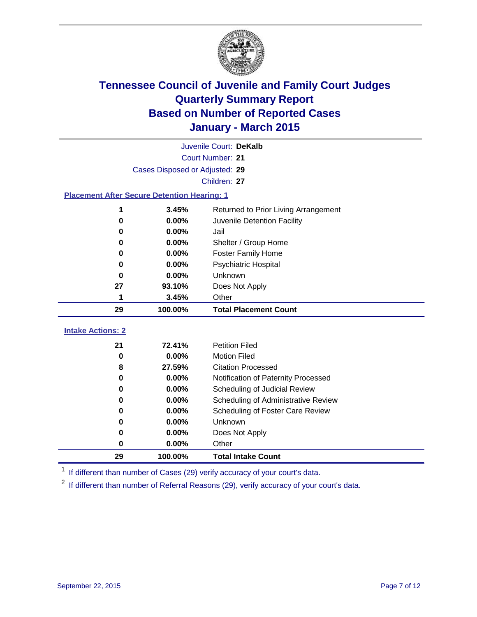

|                                                    | Juvenile Court: DeKalb |                                      |  |  |  |  |
|----------------------------------------------------|------------------------|--------------------------------------|--|--|--|--|
|                                                    | Court Number: 21       |                                      |  |  |  |  |
| Cases Disposed or Adjusted: 29                     |                        |                                      |  |  |  |  |
|                                                    | Children: 27           |                                      |  |  |  |  |
| <b>Placement After Secure Detention Hearing: 1</b> |                        |                                      |  |  |  |  |
| 1                                                  | 3.45%                  | Returned to Prior Living Arrangement |  |  |  |  |
| $\bf{0}$                                           | 0.00%                  | Juvenile Detention Facility          |  |  |  |  |
| 0                                                  | 0.00%                  | Jail                                 |  |  |  |  |
| 0                                                  | 0.00%                  | Shelter / Group Home                 |  |  |  |  |
| 0                                                  | 0.00%                  | <b>Foster Family Home</b>            |  |  |  |  |
| 0                                                  | 0.00%                  | <b>Psychiatric Hospital</b>          |  |  |  |  |
| $\bf{0}$                                           | 0.00%                  | Unknown                              |  |  |  |  |
| 27                                                 | 93.10%                 | Does Not Apply                       |  |  |  |  |
| 1                                                  | 3.45%                  | Other                                |  |  |  |  |
| 29                                                 | 100.00%                | <b>Total Placement Count</b>         |  |  |  |  |
| <b>Intake Actions: 2</b>                           |                        |                                      |  |  |  |  |
|                                                    |                        |                                      |  |  |  |  |
| 21                                                 | 72.41%                 | <b>Petition Filed</b>                |  |  |  |  |
| $\bf{0}$                                           | 0.00%                  | <b>Motion Filed</b>                  |  |  |  |  |
| 8                                                  | 27.59%                 | <b>Citation Processed</b>            |  |  |  |  |
| 0                                                  | 0.00%                  | Notification of Paternity Processed  |  |  |  |  |
| $\bf{0}$                                           | 0.00%                  | Scheduling of Judicial Review        |  |  |  |  |
| 0                                                  | 0.00%                  | Scheduling of Administrative Review  |  |  |  |  |
| 0                                                  | 0.00%                  | Scheduling of Foster Care Review     |  |  |  |  |
| $\bf{0}$                                           | 0.00%                  | Unknown                              |  |  |  |  |
| 0                                                  | 0.00%                  | Does Not Apply                       |  |  |  |  |
| $\bf{0}$                                           | 0.00%                  | Other                                |  |  |  |  |
| 29                                                 | 100.00%                | <b>Total Intake Count</b>            |  |  |  |  |

<sup>1</sup> If different than number of Cases (29) verify accuracy of your court's data.

<sup>2</sup> If different than number of Referral Reasons (29), verify accuracy of your court's data.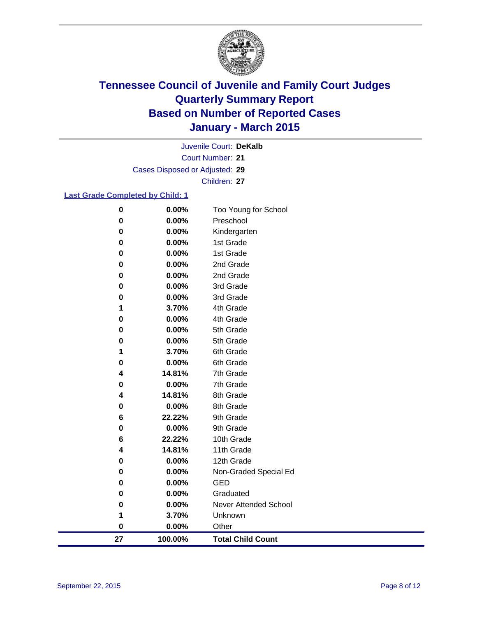

Court Number: **21** Juvenile Court: **DeKalb** Cases Disposed or Adjusted: **29** Children: **27**

### **Last Grade Completed by Child: 1**

| 27          | 100.00%        | <b>Total Child Count</b> |
|-------------|----------------|--------------------------|
| 0           | 0.00%          | Other                    |
| 1           | 3.70%          | Unknown                  |
| $\bf{0}$    | 0.00%          | Never Attended School    |
| 0           | 0.00%          | Graduated                |
| 0           | 0.00%          | <b>GED</b>               |
| 0           | 0.00%          | Non-Graded Special Ed    |
| 0           | 0.00%          | 12th Grade               |
| 4           | 14.81%         | 11th Grade               |
| 6           | 22.22%         | 10th Grade               |
| 0           | 0.00%          | 9th Grade                |
| 6           | 22.22%         | 9th Grade                |
| $\bf{0}$    | 0.00%          | 8th Grade                |
| 4           | 14.81%         | 8th Grade                |
| $\bf{0}$    | 0.00%          | 7th Grade                |
| 4           | 14.81%         | 7th Grade                |
| 0           | 0.00%          | 6th Grade                |
| 1           | 3.70%          | 6th Grade                |
| 0           | 0.00%          | 5th Grade                |
| 0           | 0.00%          | 5th Grade                |
| 1<br>0      | 3.70%<br>0.00% | 4th Grade<br>4th Grade   |
| 0           | 0.00%          | 3rd Grade                |
| 0           | 0.00%          | 3rd Grade                |
| 0           | 0.00%          | 2nd Grade                |
| 0           | 0.00%          | 2nd Grade                |
| 0           | 0.00%          | 1st Grade                |
| $\bf{0}$    | 0.00%          | 1st Grade                |
| $\bf{0}$    | 0.00%          | Kindergarten             |
| $\bf{0}$    | 0.00%          | Preschool                |
| $\mathbf 0$ | 0.00%          | Too Young for School     |
|             |                |                          |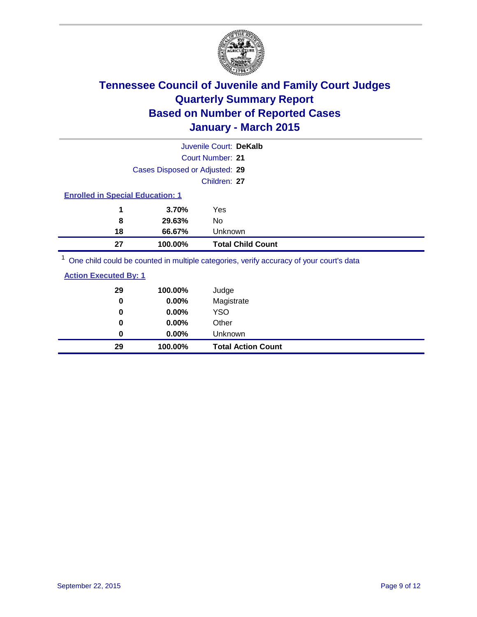

|                                                                                                                          |                                | Juvenile Court: DeKalb                                                                                          |
|--------------------------------------------------------------------------------------------------------------------------|--------------------------------|-----------------------------------------------------------------------------------------------------------------|
|                                                                                                                          |                                | Court Number: 21                                                                                                |
|                                                                                                                          | Cases Disposed or Adjusted: 29 |                                                                                                                 |
|                                                                                                                          |                                | Children: 27                                                                                                    |
| <b>Enrolled in Special Education: 1</b>                                                                                  |                                |                                                                                                                 |
| 1                                                                                                                        | 3.70%                          | Yes                                                                                                             |
| 8                                                                                                                        | 29.63%                         | No                                                                                                              |
| 18                                                                                                                       | 66.67%                         | Unknown                                                                                                         |
| 27                                                                                                                       | 100.00%                        | <b>Total Child Count</b>                                                                                        |
| $1 -$<br>the contract of the contract of the contract of the contract of the contract of the contract of the contract of |                                | the contract of the contract of the contract of the contract of the contract of the contract of the contract of |

<sup>1</sup> One child could be counted in multiple categories, verify accuracy of your court's data

| <b>Action Executed By: 1</b> |
|------------------------------|
|------------------------------|

| 29<br>0 | 100.00%<br>0.00% | Judge<br>Magistrate       |
|---------|------------------|---------------------------|
| 0       | $0.00\%$         | <b>YSO</b>                |
| 0       | 0.00%            | Other                     |
| 0       | $0.00\%$         | Unknown                   |
| 29      | 100.00%          | <b>Total Action Count</b> |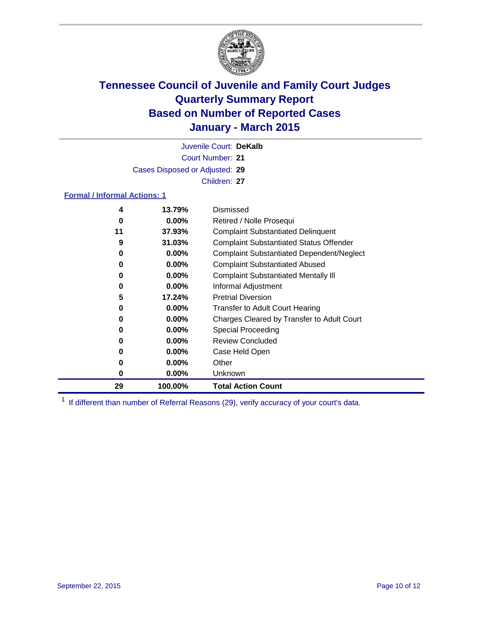

Court Number: **21** Juvenile Court: **DeKalb** Cases Disposed or Adjusted: **29** Children: **27**

### **Formal / Informal Actions: 1**

| 4  | 13.79%   | Dismissed                                        |
|----|----------|--------------------------------------------------|
| 0  | $0.00\%$ | Retired / Nolle Prosequi                         |
| 11 | 37.93%   | <b>Complaint Substantiated Delinquent</b>        |
| 9  | 31.03%   | <b>Complaint Substantiated Status Offender</b>   |
| 0  | $0.00\%$ | <b>Complaint Substantiated Dependent/Neglect</b> |
| 0  | $0.00\%$ | <b>Complaint Substantiated Abused</b>            |
| 0  | $0.00\%$ | <b>Complaint Substantiated Mentally III</b>      |
| 0  | $0.00\%$ | Informal Adjustment                              |
| 5  | 17.24%   | <b>Pretrial Diversion</b>                        |
| 0  | $0.00\%$ | <b>Transfer to Adult Court Hearing</b>           |
| 0  | $0.00\%$ | Charges Cleared by Transfer to Adult Court       |
| 0  | $0.00\%$ | Special Proceeding                               |
| 0  | $0.00\%$ | <b>Review Concluded</b>                          |
| 0  | $0.00\%$ | Case Held Open                                   |
| 0  | $0.00\%$ | Other                                            |
| 0  | $0.00\%$ | Unknown                                          |
| 29 | 100.00%  | <b>Total Action Count</b>                        |

<sup>1</sup> If different than number of Referral Reasons (29), verify accuracy of your court's data.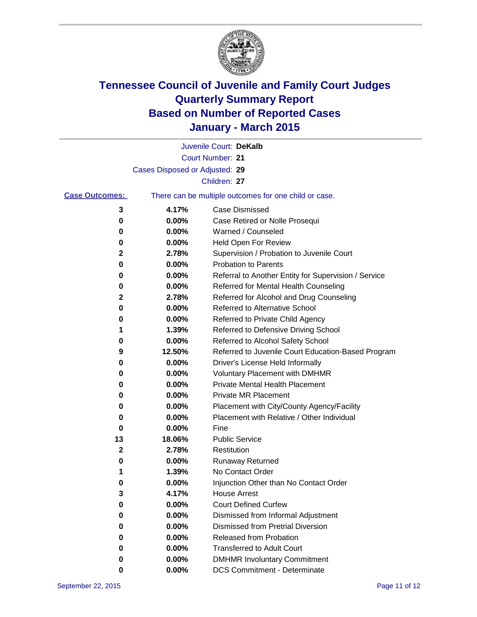

|                       |                                | Juvenile Court: DeKalb                                |
|-----------------------|--------------------------------|-------------------------------------------------------|
|                       |                                | Court Number: 21                                      |
|                       | Cases Disposed or Adjusted: 29 |                                                       |
|                       |                                | Children: 27                                          |
| <b>Case Outcomes:</b> |                                | There can be multiple outcomes for one child or case. |
| 3                     | 4.17%                          | <b>Case Dismissed</b>                                 |
| 0                     | 0.00%                          | Case Retired or Nolle Prosequi                        |
| 0                     | 0.00%                          | Warned / Counseled                                    |
| 0                     | 0.00%                          | Held Open For Review                                  |
| 2                     | 2.78%                          | Supervision / Probation to Juvenile Court             |
| 0                     | 0.00%                          | <b>Probation to Parents</b>                           |
| 0                     | 0.00%                          | Referral to Another Entity for Supervision / Service  |
| 0                     | 0.00%                          | Referred for Mental Health Counseling                 |
| 2                     | 2.78%                          | Referred for Alcohol and Drug Counseling              |
| 0                     | 0.00%                          | <b>Referred to Alternative School</b>                 |
| 0                     | 0.00%                          | Referred to Private Child Agency                      |
| 1                     | 1.39%                          | Referred to Defensive Driving School                  |
| 0                     | 0.00%                          | Referred to Alcohol Safety School                     |
| 9                     | 12.50%                         | Referred to Juvenile Court Education-Based Program    |
| 0                     | 0.00%                          | Driver's License Held Informally                      |
| 0                     | 0.00%                          | <b>Voluntary Placement with DMHMR</b>                 |
| 0                     | 0.00%                          | Private Mental Health Placement                       |
| 0                     | 0.00%                          | <b>Private MR Placement</b>                           |
| 0                     | 0.00%                          | Placement with City/County Agency/Facility            |
| 0                     | 0.00%                          | Placement with Relative / Other Individual            |
| 0                     | 0.00%                          | Fine                                                  |
| 13                    | 18.06%                         | <b>Public Service</b>                                 |
| $\mathbf{2}$          | 2.78%                          | Restitution                                           |
| 0                     | 0.00%                          | <b>Runaway Returned</b>                               |
| 1                     | 1.39%                          | No Contact Order                                      |
| 0                     | 0.00%                          | Injunction Other than No Contact Order                |
| 3                     | 4.17%                          | <b>House Arrest</b>                                   |
| 0                     | 0.00%                          | <b>Court Defined Curfew</b>                           |
| 0                     | 0.00%                          | Dismissed from Informal Adjustment                    |
| 0                     | 0.00%                          | Dismissed from Pretrial Diversion                     |
| 0                     | 0.00%                          | Released from Probation                               |
| 0                     | 0.00%                          | <b>Transferred to Adult Court</b>                     |
| 0                     | 0.00%                          | <b>DMHMR Involuntary Commitment</b>                   |
| 0                     | $0.00\%$                       | <b>DCS Commitment - Determinate</b>                   |